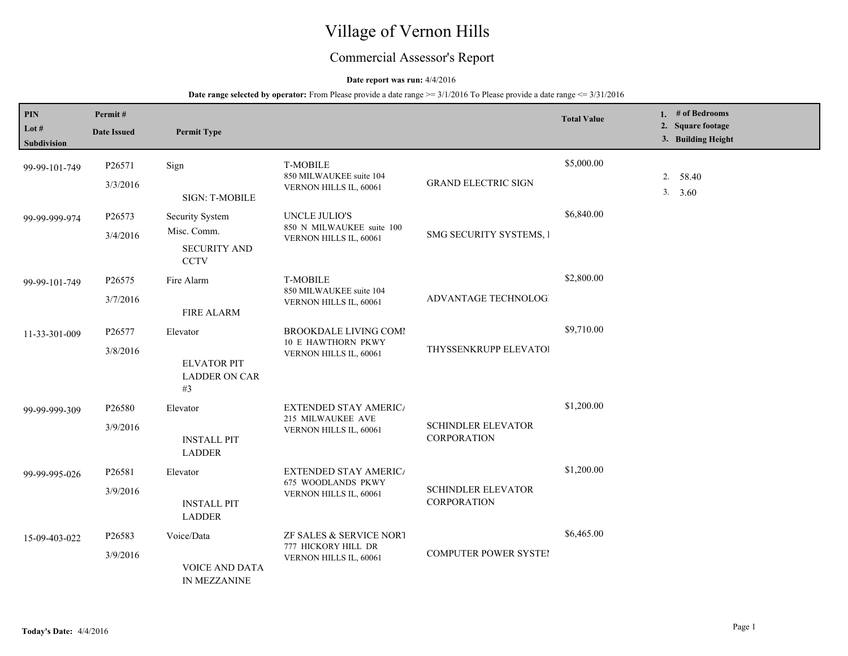# Village of Vernon Hills

## Commercial Assessor's Report

## **Date report was run:** 4/4/2016

| PIN                         | Permit#            |                                                                             |                                                                              |                                                 | <b>Total Value</b> | 1. # of Bedrooms                        |
|-----------------------------|--------------------|-----------------------------------------------------------------------------|------------------------------------------------------------------------------|-------------------------------------------------|--------------------|-----------------------------------------|
| Lot #<br><b>Subdivision</b> | <b>Date Issued</b> | <b>Permit Type</b>                                                          |                                                                              |                                                 |                    | 2. Square footage<br>3. Building Height |
| 99-99-101-749               | P26571<br>3/3/2016 | Sign<br>SIGN: T-MOBILE                                                      | <b>T-MOBILE</b><br>850 MILWAUKEE suite 104<br>VERNON HILLS IL, 60061         | <b>GRAND ELECTRIC SIGN</b>                      | \$5,000.00         | 2. 58.40<br>3. 3.60                     |
| 99-99-999-974               | P26573<br>3/4/2016 | <b>Security System</b><br>Misc. Comm.<br><b>SECURITY AND</b><br><b>CCTV</b> | <b>UNCLE JULIO'S</b><br>850 N MILWAUKEE suite 100<br>VERNON HILLS IL, 60061  | SMG SECURITY SYSTEMS, I                         | \$6,840.00         |                                         |
| 99-99-101-749               | P26575<br>3/7/2016 | Fire Alarm<br><b>FIRE ALARM</b>                                             | <b>T-MOBILE</b><br>850 MILWAUKEE suite 104<br>VERNON HILLS IL, 60061         | <b>ADVANTAGE TECHNOLOGI</b>                     | \$2,800.00         |                                         |
| 11-33-301-009               | P26577<br>3/8/2016 | Elevator<br><b>ELVATOR PIT</b><br><b>LADDER ON CAR</b><br>#3                | <b>BROOKDALE LIVING COMI</b><br>10 E HAWTHORN PKWY<br>VERNON HILLS IL, 60061 | THYSSENKRUPP ELEVATOI                           | \$9,710.00         |                                         |
| 99-99-999-309               | P26580<br>3/9/2016 | Elevator<br><b>INSTALL PIT</b><br><b>LADDER</b>                             | <b>EXTENDED STAY AMERICA</b><br>215 MILWAUKEE AVE<br>VERNON HILLS IL, 60061  | <b>SCHINDLER ELEVATOR</b><br><b>CORPORATION</b> | \$1,200.00         |                                         |
| 99-99-995-026               | P26581<br>3/9/2016 | Elevator<br><b>INSTALL PIT</b><br><b>LADDER</b>                             | <b>EXTENDED STAY AMERICA</b><br>675 WOODLANDS PKWY<br>VERNON HILLS IL, 60061 | <b>SCHINDLER ELEVATOR</b><br><b>CORPORATION</b> | \$1,200.00         |                                         |
| 15-09-403-022               | P26583<br>3/9/2016 | Voice/Data<br><b>VOICE AND DATA</b><br>IN MEZZANINE                         | ZF SALES & SERVICE NORT<br>777 HICKORY HILL DR<br>VERNON HILLS IL, 60061     | <b>COMPUTER POWER SYSTEI</b>                    | \$6,465.00         |                                         |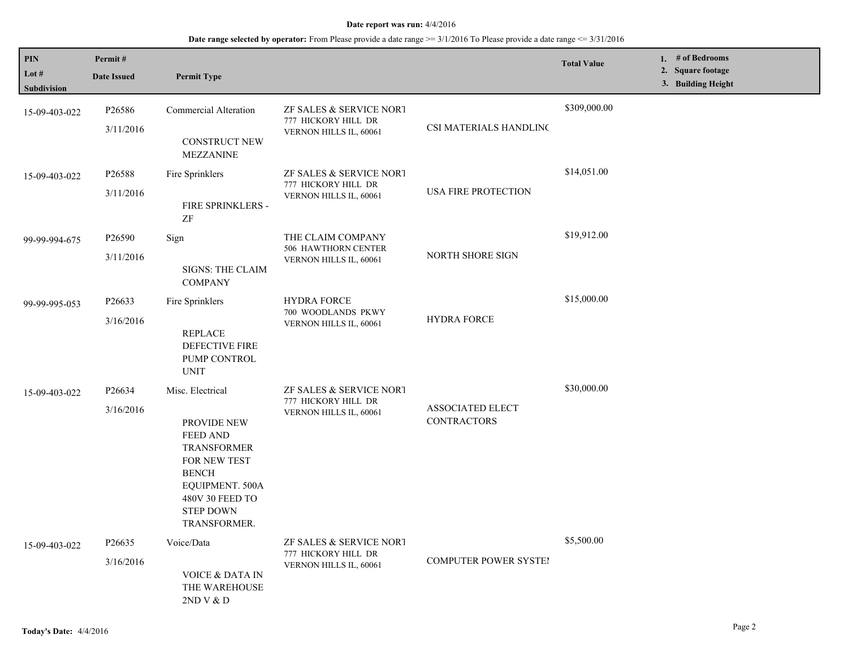| PIN<br>Lot #<br>Subdivision | Permit#<br><b>Date Issued</b>   | <b>Permit Type</b>                                                                                                                                                                        |                                                                           |                                               | <b>Total Value</b> | 1. # of Bedrooms<br>2. Square footage<br>3. Building Height |
|-----------------------------|---------------------------------|-------------------------------------------------------------------------------------------------------------------------------------------------------------------------------------------|---------------------------------------------------------------------------|-----------------------------------------------|--------------------|-------------------------------------------------------------|
| 15-09-403-022               | P26586<br>3/11/2016             | Commercial Alteration<br><b>CONSTRUCT NEW</b><br><b>MEZZANINE</b>                                                                                                                         | ZF SALES & SERVICE NORT<br>777 HICKORY HILL DR<br>VERNON HILLS IL, 60061  | CSI MATERIALS HANDLINC                        | \$309,000.00       |                                                             |
| 15-09-403-022               | P26588<br>3/11/2016             | Fire Sprinklers<br>FIRE SPRINKLERS -<br>ZF                                                                                                                                                | ZF SALES & SERVICE NORT<br>777 HICKORY HILL DR<br>VERNON HILLS IL, 60061  | USA FIRE PROTECTION                           | \$14,051.00        |                                                             |
| 99-99-994-675               | P26590<br>3/11/2016             | Sign<br>SIGNS: THE CLAIM<br><b>COMPANY</b>                                                                                                                                                | THE CLAIM COMPANY<br><b>506 HAWTHORN CENTER</b><br>VERNON HILLS IL, 60061 | NORTH SHORE SIGN                              | \$19,912.00        |                                                             |
| 99-99-995-053               | P <sub>26633</sub><br>3/16/2016 | Fire Sprinklers<br><b>REPLACE</b><br>DEFECTIVE FIRE<br>PUMP CONTROL<br><b>UNIT</b>                                                                                                        | <b>HYDRA FORCE</b><br>700 WOODLANDS PKWY<br>VERNON HILLS IL, 60061        | <b>HYDRA FORCE</b>                            | \$15,000.00        |                                                             |
| 15-09-403-022               | P <sub>26634</sub><br>3/16/2016 | Misc. Electrical<br>PROVIDE NEW<br><b>FEED AND</b><br><b>TRANSFORMER</b><br>FOR NEW TEST<br><b>BENCH</b><br>EQUIPMENT. 500A<br>480V 30 FEED TO<br><b>STEP DOWN</b><br><b>TRANSFORMER.</b> | ZF SALES & SERVICE NORT<br>777 HICKORY HILL DR<br>VERNON HILLS IL, 60061  | <b>ASSOCIATED ELECT</b><br><b>CONTRACTORS</b> | \$30,000.00        |                                                             |
| 15-09-403-022               | P26635<br>3/16/2016             | Voice/Data<br>VOICE & DATA IN<br>THE WAREHOUSE<br>2ND V & D                                                                                                                               | ZF SALES & SERVICE NORT<br>777 HICKORY HILL DR<br>VERNON HILLS IL, 60061  | <b>COMPUTER POWER SYSTE!</b>                  | \$5,500.00         |                                                             |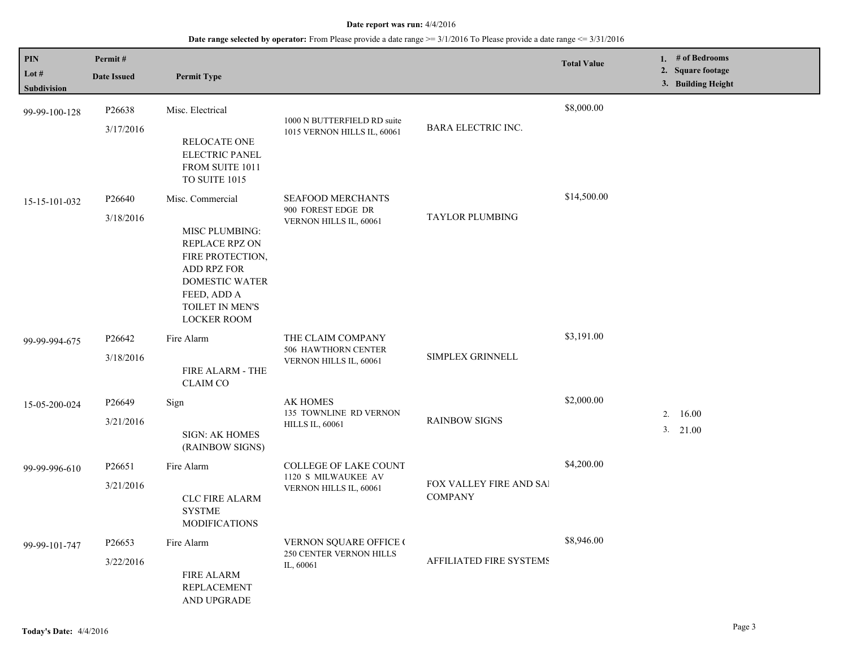| PIN<br>Lot $#$ | Permit#<br><b>Date Issued</b>                         | <b>Permit Type</b>                                                                                                                                   |                                                                           |                                           | <b>Total Value</b>  | 1. # of Bedrooms<br>2. Square footage |
|----------------|-------------------------------------------------------|------------------------------------------------------------------------------------------------------------------------------------------------------|---------------------------------------------------------------------------|-------------------------------------------|---------------------|---------------------------------------|
| Subdivision    |                                                       |                                                                                                                                                      |                                                                           |                                           |                     | 3. Building Height                    |
| 99-99-100-128  | P26638<br>3/17/2016                                   | Misc. Electrical                                                                                                                                     | 1000 N BUTTERFIELD RD suite<br>1015 VERNON HILLS IL, 60061                | <b>BARA ELECTRIC INC.</b>                 | \$8,000.00          |                                       |
|                |                                                       | <b>RELOCATE ONE</b><br><b>ELECTRIC PANEL</b><br>FROM SUITE 1011<br>TO SUITE 1015                                                                     |                                                                           |                                           |                     |                                       |
| 15-15-101-032  | P <sub>26640</sub>                                    | Misc. Commercial                                                                                                                                     | SEAFOOD MERCHANTS                                                         |                                           | \$14,500.00         |                                       |
|                | 3/18/2016                                             | MISC PLUMBING:<br>REPLACE RPZ ON<br>FIRE PROTECTION,<br>ADD RPZ FOR<br><b>DOMESTIC WATER</b><br>FEED, ADD A<br>TOILET IN MEN'S<br><b>LOCKER ROOM</b> | 900 FOREST EDGE DR<br>VERNON HILLS IL, 60061                              | <b>TAYLOR PLUMBING</b>                    |                     |                                       |
| 99-99-994-675  | P26642                                                | Fire Alarm                                                                                                                                           | THE CLAIM COMPANY<br><b>506 HAWTHORN CENTER</b><br>VERNON HILLS IL, 60061 | <b>SIMPLEX GRINNELL</b>                   | \$3,191.00          |                                       |
|                | 3/18/2016                                             | FIRE ALARM - THE<br><b>CLAIM CO</b>                                                                                                                  |                                                                           |                                           |                     |                                       |
| 15-05-200-024  | P26649                                                | Sign                                                                                                                                                 | <b>AK HOMES</b><br>135 TOWNLINE RD VERNON                                 |                                           | \$2,000.00          |                                       |
|                | 3/21/2016<br><b>SIGN: AK HOMES</b><br>(RAINBOW SIGNS) | <b>HILLS IL, 60061</b>                                                                                                                               | <b>RAINBOW SIGNS</b>                                                      |                                           | 2.16.00<br>3. 21.00 |                                       |
| 99-99-996-610  | P <sub>26651</sub>                                    | Fire Alarm                                                                                                                                           | <b>COLLEGE OF LAKE COUNT</b><br>1120 S MILWAUKEE AV                       | FOX VALLEY FIRE AND SAI<br><b>COMPANY</b> | \$4,200.00          |                                       |
|                | 3/21/2016                                             | <b>CLC FIRE ALARM</b><br><b>SYSTME</b><br><b>MODIFICATIONS</b>                                                                                       | VERNON HILLS IL, 60061                                                    |                                           |                     |                                       |
| 99-99-101-747  | P26653                                                | Fire Alarm                                                                                                                                           | <b>VERNON SQUARE OFFICE (</b><br>250 CENTER VERNON HILLS                  |                                           | \$8,946.00          |                                       |
|                | 3/22/2016                                             | FIRE ALARM<br><b>REPLACEMENT</b><br>AND UPGRADE                                                                                                      | IL, 60061                                                                 | AFFILIATED FIRE SYSTEMS                   |                     |                                       |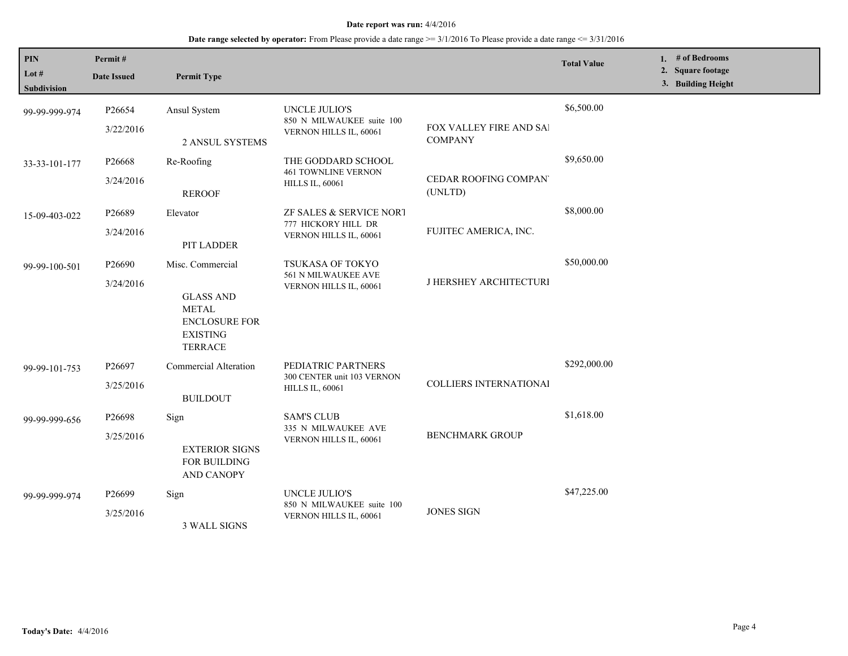| PIN<br>Lot #<br><b>Subdivision</b> | Permit#<br><b>Date Issued</b>   | <b>Permit Type</b>                                                                                                |                                                                             |                                           | <b>Total Value</b> | 1. # of Bedrooms<br>2. Square footage<br>3. Building Height |
|------------------------------------|---------------------------------|-------------------------------------------------------------------------------------------------------------------|-----------------------------------------------------------------------------|-------------------------------------------|--------------------|-------------------------------------------------------------|
| 99-99-999-974                      | P26654<br>3/22/2016             | Ansul System<br>2 ANSUL SYSTEMS                                                                                   | <b>UNCLE JULIO'S</b><br>850 N MILWAUKEE suite 100<br>VERNON HILLS IL, 60061 | FOX VALLEY FIRE AND SAI<br><b>COMPANY</b> | \$6,500.00         |                                                             |
| 33-33-101-177                      | P <sub>26668</sub><br>3/24/2016 | Re-Roofing<br><b>REROOF</b>                                                                                       | THE GODDARD SCHOOL<br><b>461 TOWNLINE VERNON</b><br><b>HILLS IL, 60061</b>  | <b>CEDAR ROOFING COMPAN</b><br>(UNLTD)    | \$9,650.00         |                                                             |
| 15-09-403-022                      | P26689<br>3/24/2016             | Elevator<br>PIT LADDER                                                                                            | ZF SALES & SERVICE NORT<br>777 HICKORY HILL DR<br>VERNON HILLS IL, 60061    | FUJITEC AMERICA, INC.                     | \$8,000.00         |                                                             |
| 99-99-100-501                      | P26690<br>3/24/2016             | Misc. Commercial<br><b>GLASS AND</b><br><b>METAL</b><br><b>ENCLOSURE FOR</b><br><b>EXISTING</b><br><b>TERRACE</b> | <b>TSUKASA OF TOKYO</b><br>561 N MILWAUKEE AVE<br>VERNON HILLS IL, 60061    | J HERSHEY ARCHITECTURI                    | \$50,000.00        |                                                             |
| 99-99-101-753                      | P26697<br>3/25/2016             | <b>Commercial Alteration</b><br><b>BUILDOUT</b>                                                                   | PEDIATRIC PARTNERS<br>300 CENTER unit 103 VERNON<br><b>HILLS IL, 60061</b>  | <b>COLLIERS INTERNATIONAL</b>             | \$292,000.00       |                                                             |
| 99-99-999-656                      | P26698<br>3/25/2016             | Sign<br><b>EXTERIOR SIGNS</b><br>FOR BUILDING<br><b>AND CANOPY</b>                                                | <b>SAM'S CLUB</b><br>335 N MILWAUKEE AVE<br>VERNON HILLS IL, 60061          | <b>BENCHMARK GROUP</b>                    | \$1,618.00         |                                                             |
| 99-99-999-974                      | P <sub>26699</sub><br>3/25/2016 | Sign<br><b>3 WALL SIGNS</b>                                                                                       | <b>UNCLE JULIO'S</b><br>850 N MILWAUKEE suite 100<br>VERNON HILLS IL, 60061 | <b>JONES SIGN</b>                         | \$47,225.00        |                                                             |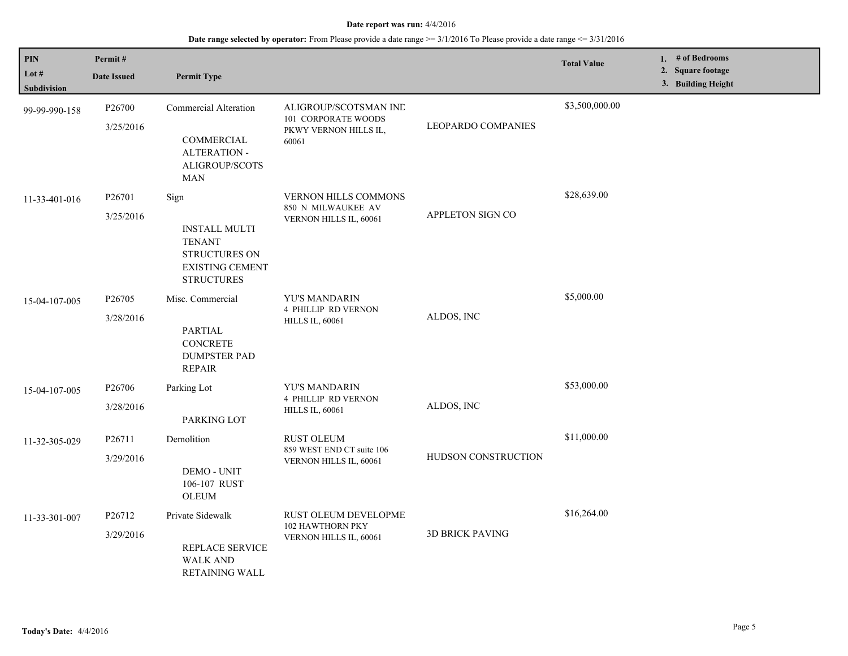| PIN<br>Lot $#$ | Permit#                         |                                                                                                              |                                                                                |                           | <b>Total Value</b> | 1. # of Bedrooms<br>2. Square footage |
|----------------|---------------------------------|--------------------------------------------------------------------------------------------------------------|--------------------------------------------------------------------------------|---------------------------|--------------------|---------------------------------------|
| Subdivision    | <b>Date Issued</b>              | <b>Permit Type</b>                                                                                           |                                                                                |                           |                    | 3. Building Height                    |
| 99-99-990-158  | P <sub>26700</sub><br>3/25/2016 | <b>Commercial Alteration</b><br>COMMERCIAL<br><b>ALTERATION -</b>                                            | ALIGROUP/SCOTSMAN IND<br>101 CORPORATE WOODS<br>PKWY VERNON HILLS IL,<br>60061 | <b>LEOPARDO COMPANIES</b> | \$3,500,000.00     |                                       |
| 11-33-401-016  | P26701<br>3/25/2016             | ALIGROUP/SCOTS<br><b>MAN</b><br>Sign                                                                         | <b>VERNON HILLS COMMONS</b><br>850 N MILWAUKEE AV                              | APPLETON SIGN CO          | \$28,639.00        |                                       |
|                |                                 | <b>INSTALL MULTI</b><br><b>TENANT</b><br><b>STRUCTURES ON</b><br><b>EXISTING CEMENT</b><br><b>STRUCTURES</b> | VERNON HILLS IL, 60061                                                         |                           |                    |                                       |
| 15-04-107-005  | P26705<br>3/28/2016             | Misc. Commercial<br><b>PARTIAL</b><br><b>CONCRETE</b><br><b>DUMPSTER PAD</b><br><b>REPAIR</b>                | YU'S MANDARIN<br><b>4 PHILLIP RD VERNON</b><br><b>HILLS IL, 60061</b>          | ALDOS, INC                | \$5,000.00         |                                       |
| 15-04-107-005  | P <sub>26706</sub><br>3/28/2016 | Parking Lot<br>PARKING LOT                                                                                   | <b>YU'S MANDARIN</b><br><b>4 PHILLIP RD VERNON</b><br><b>HILLS IL, 60061</b>   | ALDOS, INC                | \$53,000.00        |                                       |
| 11-32-305-029  | P26711<br>3/29/2016             | Demolition<br><b>DEMO - UNIT</b><br>106-107 RUST<br><b>OLEUM</b>                                             | <b>RUST OLEUM</b><br>859 WEST END CT suite 106<br>VERNON HILLS IL, 60061       | HUDSON CONSTRUCTION       | \$11,000.00        |                                       |
| 11-33-301-007  | P26712<br>3/29/2016             | Private Sidewalk<br><b>REPLACE SERVICE</b><br><b>WALK AND</b><br><b>RETAINING WALL</b>                       | <b>RUST OLEUM DEVELOPME</b><br>102 HAWTHORN PKY<br>VERNON HILLS IL, 60061      | <b>3D BRICK PAVING</b>    | \$16,264.00        |                                       |